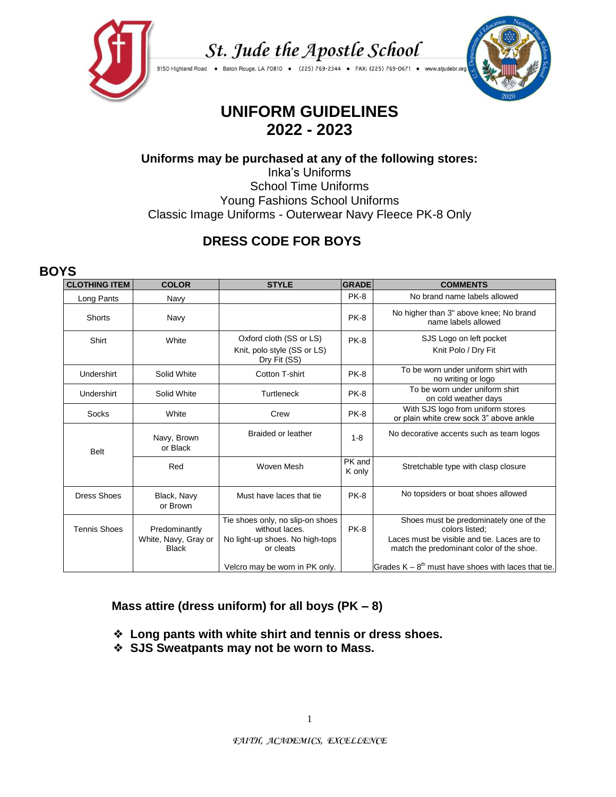

St. Jude the Apostle School

9150 Highland Road . Baton Rouge, LA 70810 . (225) 769-2344 . FAX: (225) 769-0671 . www.stjudebr.org



# **UNIFORM GUIDELINES 2022 - 2023**

### **Uniforms may be purchased at any of the following stores:** Inka's Uniforms School Time Uniforms Young Fashions School Uniforms Classic Image Uniforms - Outerwear Navy Fleece PK-8 Only

## **DRESS CODE FOR BOYS**

### **BOYS**

| <b>CLOTHING ITEM</b> | <b>COLOR</b>                                          | <b>STYLE</b>                                                                                                                         | <b>GRADE</b>     | <b>COMMENTS</b>                                                                                                                                                                                                 |
|----------------------|-------------------------------------------------------|--------------------------------------------------------------------------------------------------------------------------------------|------------------|-----------------------------------------------------------------------------------------------------------------------------------------------------------------------------------------------------------------|
| Long Pants           | Navy                                                  |                                                                                                                                      | PK-8             | No brand name labels allowed                                                                                                                                                                                    |
| Shorts               | Navy                                                  |                                                                                                                                      | PK-8             | No higher than 3" above knee; No brand<br>name labels allowed                                                                                                                                                   |
| Shirt                | White                                                 | Oxford cloth (SS or LS)<br>Knit, polo style (SS or LS)<br>Dry Fit (SS)                                                               | PK-8             | SJS Logo on left pocket<br>Knit Polo / Dry Fit                                                                                                                                                                  |
| Undershirt           | Solid White                                           | Cotton T-shirt                                                                                                                       | PK-8             | To be worn under uniform shirt with<br>no writing or logo                                                                                                                                                       |
| Undershirt           | Solid White                                           | Turtleneck                                                                                                                           | PK-8             | To be worn under uniform shirt<br>on cold weather days                                                                                                                                                          |
| Socks                | White                                                 | Crew                                                                                                                                 | PK-8             | With SJS logo from uniform stores<br>or plain white crew sock 3" above ankle                                                                                                                                    |
| <b>Belt</b>          | Navy, Brown<br>or Black                               | <b>Braided or leather</b>                                                                                                            | $1 - 8$          | No decorative accents such as team logos                                                                                                                                                                        |
|                      | Red                                                   | Woven Mesh                                                                                                                           | PK and<br>K only | Stretchable type with clasp closure                                                                                                                                                                             |
| <b>Dress Shoes</b>   | Black, Navy<br>or Brown                               | Must have laces that tie                                                                                                             | PK-8             | No topsiders or boat shoes allowed                                                                                                                                                                              |
| <b>Tennis Shoes</b>  | Predominantly<br>White, Navy, Gray or<br><b>Black</b> | Tie shoes only, no slip-on shoes<br>without laces.<br>No light-up shoes. No high-tops<br>or cleats<br>Velcro may be worn in PK only. | PK-8             | Shoes must be predominately one of the<br>colors listed:<br>Laces must be visible and tie. Laces are to<br>match the predominant color of the shoe.<br>Grades $K - 8^{th}$ must have shoes with laces that tie. |

 **Mass attire (dress uniform) for all boys (PK – 8)**

- ❖ **Long pants with white shirt and tennis or dress shoes.**
- ❖ **SJS Sweatpants may not be worn to Mass.**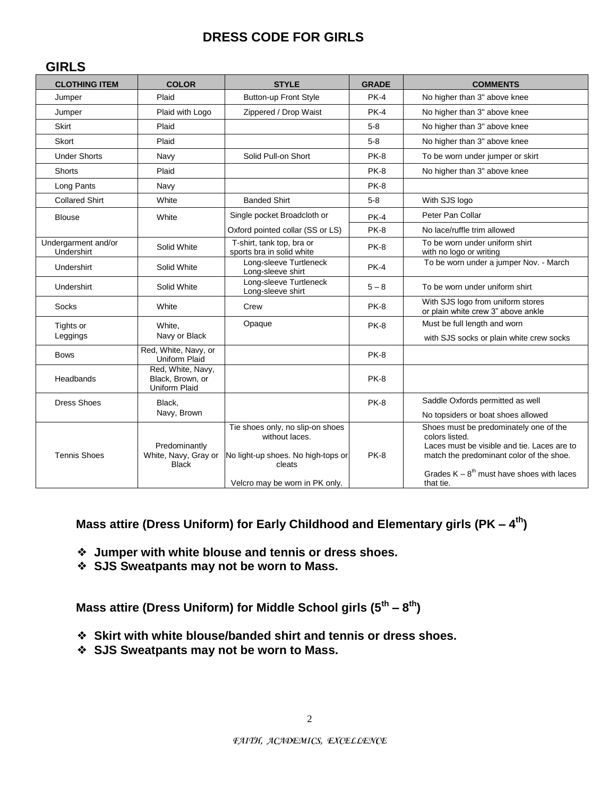### **DRESS CODE FOR GIRLS**

### **GIRLS**

| <b>CLOTHING ITEM</b>              | <b>COLOR</b>                                           | <b>STYLE</b>                                                                                                                         | <b>GRADE</b> | <b>COMMENTS</b>                                                                                                                                                                                                    |
|-----------------------------------|--------------------------------------------------------|--------------------------------------------------------------------------------------------------------------------------------------|--------------|--------------------------------------------------------------------------------------------------------------------------------------------------------------------------------------------------------------------|
| Jumper                            | Plaid                                                  | Button-up Front Style                                                                                                                | $PK-4$       | No higher than 3" above knee                                                                                                                                                                                       |
| Jumper                            | Plaid with Logo                                        | Zippered / Drop Waist                                                                                                                | <b>PK-4</b>  | No higher than 3" above knee                                                                                                                                                                                       |
| Skirt                             | Plaid                                                  |                                                                                                                                      | $5 - 8$      | No higher than 3" above knee                                                                                                                                                                                       |
| Skort                             | Plaid                                                  |                                                                                                                                      | $5 - 8$      | No higher than 3" above knee                                                                                                                                                                                       |
| <b>Under Shorts</b>               | Navy                                                   | Solid Pull-on Short                                                                                                                  | PK-8         | To be worn under jumper or skirt                                                                                                                                                                                   |
| Shorts                            | Plaid                                                  |                                                                                                                                      | <b>PK-8</b>  | No higher than 3" above knee                                                                                                                                                                                       |
| Long Pants                        | Navy                                                   |                                                                                                                                      | PK-8         |                                                                                                                                                                                                                    |
| <b>Collared Shirt</b>             | White                                                  | <b>Banded Shirt</b>                                                                                                                  | $5 - 8$      | With SJS logo                                                                                                                                                                                                      |
| <b>Blouse</b>                     | White                                                  | Single pocket Broadcloth or                                                                                                          | <b>PK-4</b>  | Peter Pan Collar                                                                                                                                                                                                   |
|                                   |                                                        | Oxford pointed collar (SS or LS)                                                                                                     | <b>PK-8</b>  | No lace/ruffle trim allowed                                                                                                                                                                                        |
| Undergarment and/or<br>Undershirt | Solid White                                            | T-shirt, tank top, bra or<br>sports bra in solid white                                                                               | <b>PK-8</b>  | To be worn under uniform shirt<br>with no logo or writing                                                                                                                                                          |
| Undershirt                        | Solid White                                            | Long-sleeve Turtleneck<br>Long-sleeve shirt                                                                                          | $PK-4$       | To be worn under a jumper Nov. - March                                                                                                                                                                             |
| Undershirt                        | Solid White                                            | Long-sleeve Turtleneck<br>Long-sleeve shirt                                                                                          | $5 - 8$      | To be worn under uniform shirt                                                                                                                                                                                     |
| Socks                             | White                                                  | Crew                                                                                                                                 | PK-8         | With SJS logo from uniform stores<br>or plain white crew 3" above ankle                                                                                                                                            |
| Tights or                         | White,                                                 | Opaque                                                                                                                               | <b>PK-8</b>  | Must be full length and worn                                                                                                                                                                                       |
| Leggings                          | Navy or Black                                          |                                                                                                                                      |              | with SJS socks or plain white crew socks                                                                                                                                                                           |
| <b>Bows</b>                       | Red, White, Navy, or<br><b>Uniform Plaid</b>           |                                                                                                                                      | <b>PK-8</b>  |                                                                                                                                                                                                                    |
| Headbands                         | Red, White, Navy,<br>Black, Brown, or<br>Uniform Plaid |                                                                                                                                      | PK-8         |                                                                                                                                                                                                                    |
| <b>Dress Shoes</b>                | Black,                                                 |                                                                                                                                      | <b>PK-8</b>  | Saddle Oxfords permitted as well                                                                                                                                                                                   |
|                                   | Navy, Brown                                            |                                                                                                                                      |              | No topsiders or boat shoes allowed                                                                                                                                                                                 |
| <b>Tennis Shoes</b>               | Predominantly<br>White, Navy, Gray or<br><b>Black</b>  | Tie shoes only, no slip-on shoes<br>without laces.<br>No light-up shoes. No high-tops or<br>cleats<br>Velcro may be worn in PK only. | PK-8         | Shoes must be predominately one of the<br>colors listed.<br>Laces must be visible and tie. Laces are to<br>match the predominant color of the shoe.<br>Grades $K - 8^{th}$ must have shoes with laces<br>that tie. |

**Mass attire (Dress Uniform) for Early Childhood and Elementary girls (PK – 4 th)**

- ❖ **Jumper with white blouse and tennis or dress shoes.**
- ❖ **SJS Sweatpants may not be worn to Mass.**

**Mass attire (Dress Uniform) for Middle School girls (5th – 8 th)**

- ❖ **Skirt with white blouse/banded shirt and tennis or dress shoes.**
- ❖ **SJS Sweatpants may not be worn to Mass.**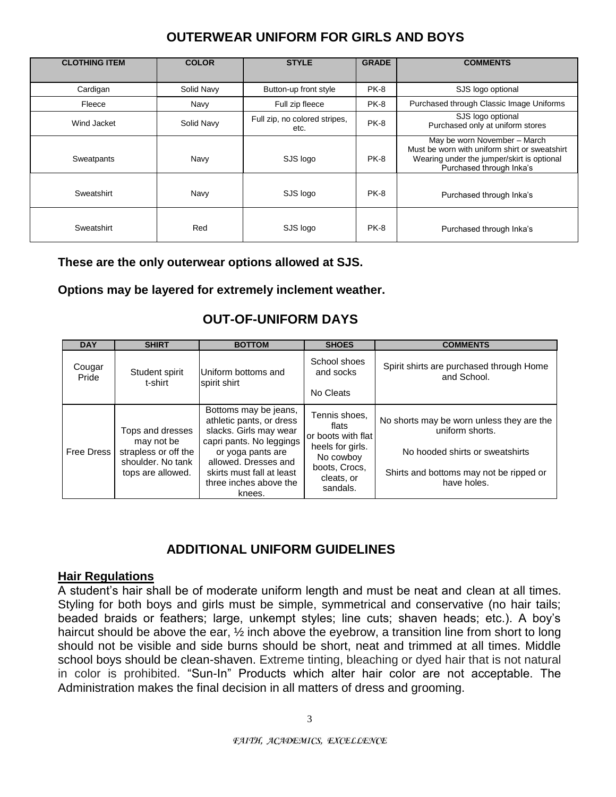## **OUTERWEAR UNIFORM FOR GIRLS AND BOYS**

| <b>CLOTHING ITEM</b> | <b>COLOR</b> | <b>STYLE</b>                          | <b>GRADE</b> | <b>COMMENTS</b>                                                                                                                                         |
|----------------------|--------------|---------------------------------------|--------------|---------------------------------------------------------------------------------------------------------------------------------------------------------|
| Cardigan             | Solid Navy   | Button-up front style                 | PK-8         | SJS logo optional                                                                                                                                       |
| Fleece               | Navy         | Full zip fleece                       | PK-8         | Purchased through Classic Image Uniforms                                                                                                                |
| Wind Jacket          | Solid Navy   | Full zip, no colored stripes,<br>etc. | <b>PK-8</b>  | SJS logo optional<br>Purchased only at uniform stores                                                                                                   |
| Sweatpants           | Navy         | SJS logo                              | PK-8         | May be worn November - March<br>Must be worn with uniform shirt or sweatshirt<br>Wearing under the jumper/skirt is optional<br>Purchased through Inka's |
| Sweatshirt           | Navy         | SJS logo                              | PK-8         | Purchased through Inka's                                                                                                                                |
| Sweatshirt           | Red          | SJS logo                              | PK-8         | Purchased through Inka's                                                                                                                                |

### **These are the only outerwear options allowed at SJS.**

### **Options may be layered for extremely inclement weather.**

### **OUT-OF-UNIFORM DAYS**

| <b>DAY</b>        | <b>SHIRT</b>                                                                                     | <b>BOTTOM</b>                                                                                                                                                                                                         | <b>SHOES</b>                                                                                                             | <b>COMMENTS</b>                                                                                                                                           |
|-------------------|--------------------------------------------------------------------------------------------------|-----------------------------------------------------------------------------------------------------------------------------------------------------------------------------------------------------------------------|--------------------------------------------------------------------------------------------------------------------------|-----------------------------------------------------------------------------------------------------------------------------------------------------------|
| Cougar<br>Pride   | Student spirit<br>t-shirt                                                                        | Uniform bottoms and<br>spirit shirt                                                                                                                                                                                   | School shoes<br>and socks<br>No Cleats                                                                                   | Spirit shirts are purchased through Home<br>and School.                                                                                                   |
| <b>Free Dress</b> | Tops and dresses<br>may not be<br>strapless or off the<br>shoulder. No tank<br>tops are allowed. | Bottoms may be jeans,<br>athletic pants, or dress<br>slacks. Girls may wear<br>capri pants. No leggings<br>or yoga pants are<br>allowed. Dresses and<br>skirts must fall at least<br>three inches above the<br>knees. | Tennis shoes,<br>flats<br>or boots with flat<br>heels for girls.<br>No cowboy<br>boots, Crocs,<br>cleats, or<br>sandals. | No shorts may be worn unless they are the<br>uniform shorts.<br>No hooded shirts or sweatshirts<br>Shirts and bottoms may not be ripped or<br>have holes. |

## **ADDITIONAL UNIFORM GUIDELINES**

### **Hair Regulations**

A student's hair shall be of moderate uniform length and must be neat and clean at all times. Styling for both boys and girls must be simple, symmetrical and conservative (no hair tails; beaded braids or feathers; large, unkempt styles; line cuts; shaven heads; etc.). A boy's haircut should be above the ear,  $\frac{1}{2}$  inch above the eyebrow, a transition line from short to long should not be visible and side burns should be short, neat and trimmed at all times. Middle school boys should be clean-shaven. Extreme tinting, bleaching or dyed hair that is not natural in color is prohibited. "Sun-In" Products which alter hair color are not acceptable. The Administration makes the final decision in all matters of dress and grooming.